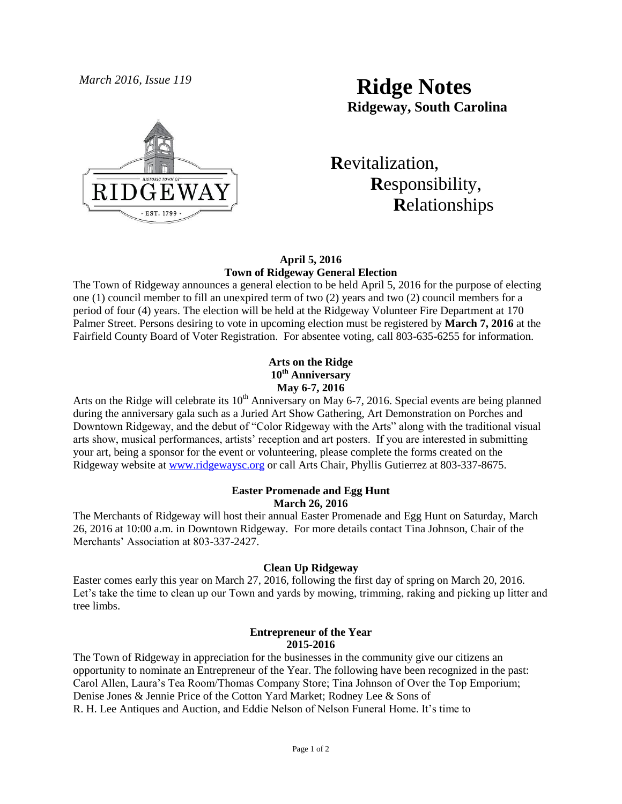

# *March 2016, Issue 119* **Ridge Notes Ridgeway, South Carolina**

 **R**evitalization,  **R**esponsibility,  **R**elationships

## **April 5, 2016 Town of Ridgeway General Election**

The Town of Ridgeway announces a general election to be held April 5, 2016 for the purpose of electing one (1) council member to fill an unexpired term of two (2) years and two (2) council members for a period of four (4) years. The election will be held at the Ridgeway Volunteer Fire Department at 170 Palmer Street. Persons desiring to vote in upcoming election must be registered by **March 7, 2016** at the Fairfield County Board of Voter Registration. For absentee voting, call 803-635-6255 for information.

> **Arts on the Ridge 10th Anniversary May 6-7, 2016**

Arts on the Ridge will celebrate its  $10<sup>th</sup>$  Anniversary on May 6-7, 2016. Special events are being planned during the anniversary gala such as a Juried Art Show Gathering, Art Demonstration on Porches and Downtown Ridgeway, and the debut of "Color Ridgeway with the Arts" along with the traditional visual arts show, musical performances, artists' reception and art posters. If you are interested in submitting your art, being a sponsor for the event or volunteering, please complete the forms created on the Ridgeway website at [www.ridgewaysc.org](http://www.ridgewaysc.org/) or call Arts Chair, Phyllis Gutierrez at 803-337-8675.

# **Easter Promenade and Egg Hunt March 26, 2016**

The Merchants of Ridgeway will host their annual Easter Promenade and Egg Hunt on Saturday, March 26, 2016 at 10:00 a.m. in Downtown Ridgeway. For more details contact Tina Johnson, Chair of the Merchants' Association at 803-337-2427.

# **Clean Up Ridgeway**

Easter comes early this year on March 27, 2016, following the first day of spring on March 20, 2016. Let's take the time to clean up our Town and yards by mowing, trimming, raking and picking up litter and tree limbs.

# **Entrepreneur of the Year 2015-2016**

The Town of Ridgeway in appreciation for the businesses in the community give our citizens an opportunity to nominate an Entrepreneur of the Year. The following have been recognized in the past: Carol Allen, Laura's Tea Room/Thomas Company Store; Tina Johnson of Over the Top Emporium; Denise Jones & Jennie Price of the Cotton Yard Market; Rodney Lee & Sons of R. H. Lee Antiques and Auction, and Eddie Nelson of Nelson Funeral Home. It's time to